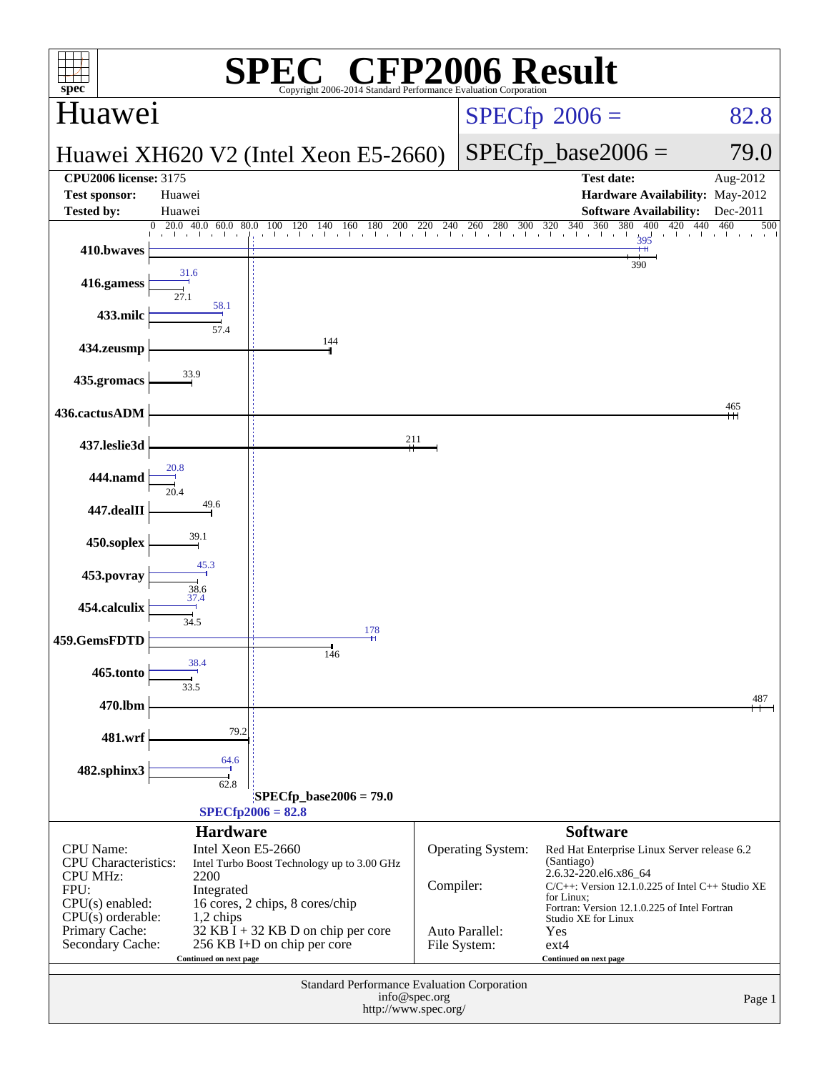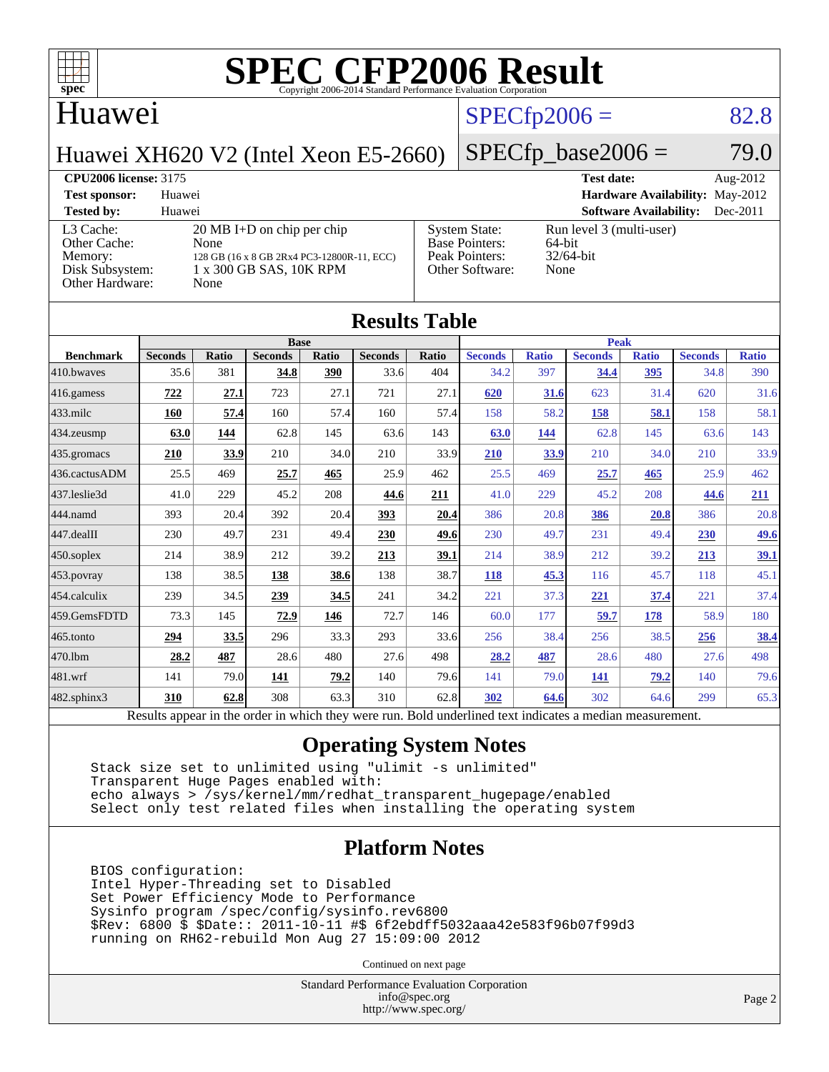

#### Huawei

### $SPECfp2006 = 82.8$  $SPECfp2006 = 82.8$

Huawei XH620 V2 (Intel Xeon E5-2660)

#### $SPECfp\_base2006 = 79.0$

#### **[CPU2006 license:](http://www.spec.org/auto/cpu2006/Docs/result-fields.html#CPU2006license)** 3175 **[Test date:](http://www.spec.org/auto/cpu2006/Docs/result-fields.html#Testdate)** Aug-2012

**[Test sponsor:](http://www.spec.org/auto/cpu2006/Docs/result-fields.html#Testsponsor)** Huawei **[Hardware Availability:](http://www.spec.org/auto/cpu2006/Docs/result-fields.html#HardwareAvailability)** May-2012 **[Tested by:](http://www.spec.org/auto/cpu2006/Docs/result-fields.html#Testedby)** Huawei **[Software Availability:](http://www.spec.org/auto/cpu2006/Docs/result-fields.html#SoftwareAvailability)** Dec-2011 [L3 Cache:](http://www.spec.org/auto/cpu2006/Docs/result-fields.html#L3Cache) 20 MB I+D on chip per chip<br>Other Cache: None [Other Cache:](http://www.spec.org/auto/cpu2006/Docs/result-fields.html#OtherCache) [Memory:](http://www.spec.org/auto/cpu2006/Docs/result-fields.html#Memory) 128 GB (16 x 8 GB 2Rx4 PC3-12800R-11, ECC) [Disk Subsystem:](http://www.spec.org/auto/cpu2006/Docs/result-fields.html#DiskSubsystem) 1 x 300 GB SAS, 10K RPM [Other Hardware:](http://www.spec.org/auto/cpu2006/Docs/result-fields.html#OtherHardware) None [System State:](http://www.spec.org/auto/cpu2006/Docs/result-fields.html#SystemState) Run level 3 (multi-user)<br>Base Pointers: 64-bit [Base Pointers:](http://www.spec.org/auto/cpu2006/Docs/result-fields.html#BasePointers) 64-bit<br>Peak Pointers: 32/64-bit [Peak Pointers:](http://www.spec.org/auto/cpu2006/Docs/result-fields.html#PeakPointers) [Other Software:](http://www.spec.org/auto/cpu2006/Docs/result-fields.html#OtherSoftware) None

| <b>Results Table</b>   |                                                                                                          |       |                |       |                |       |                |              |                |              |                |              |
|------------------------|----------------------------------------------------------------------------------------------------------|-------|----------------|-------|----------------|-------|----------------|--------------|----------------|--------------|----------------|--------------|
|                        | <b>Base</b>                                                                                              |       |                |       |                |       | <b>Peak</b>    |              |                |              |                |              |
| <b>Benchmark</b>       | <b>Seconds</b>                                                                                           | Ratio | <b>Seconds</b> | Ratio | <b>Seconds</b> | Ratio | <b>Seconds</b> | <b>Ratio</b> | <b>Seconds</b> | <b>Ratio</b> | <b>Seconds</b> | <b>Ratio</b> |
| 410.bwayes             | 35.6                                                                                                     | 381   | 34.8           | 390   | 33.6           | 404   | 34.2           | 397          | 34.4           | 395          | 34.8           | 390          |
| 416.gamess             | 722                                                                                                      | 27.1  | 723            | 27.1  | 721            | 27.1  | 620            | 31.6         | 623            | 31.4         | 620            | 31.6         |
| $433$ .milc            | 160                                                                                                      | 57.4  | 160            | 57.4  | 160            | 57.4  | 158            | 58.2         | 158            | 58.1         | 158            | 58.1         |
| $434$ . zeusmp         | 63.0                                                                                                     | 144   | 62.8           | 145   | 63.6           | 143   | 63.0           | 144          | 62.8           | 145          | 63.6           | 143          |
| $435.$ gromacs         | 210                                                                                                      | 33.9  | 210            | 34.0  | 210            | 33.9  | <b>210</b>     | 33.9         | 210            | 34.0         | 210            | 33.9         |
| 436.cactusADM          | 25.5                                                                                                     | 469   | 25.7           | 465   | 25.9           | 462   | 25.5           | 469          | 25.7           | 465          | 25.9           | 462          |
| 437.leslie3d           | 41.0                                                                                                     | 229   | 45.2           | 208   | 44.6           | 211   | 41.0           | 229          | 45.2           | 208          | 44.6           | 211          |
| 444.namd               | 393                                                                                                      | 20.4  | 392            | 20.4  | 393            | 20.4  | 386            | 20.8         | 386            | 20.8         | 386            | 20.8         |
| $ 447 \text{.}$ dealII | 230                                                                                                      | 49.7  | 231            | 49.4  | 230            | 49.6  | 230            | 49.7         | 231            | 49.4         | <b>230</b>     | 49.6         |
| $450$ .soplex          | 214                                                                                                      | 38.9  | 212            | 39.2  | 213            | 39.1  | 214            | 38.9         | 212            | 39.2         | 213            | <u>39.1</u>  |
| $453$ .povray          | 138                                                                                                      | 38.5  | 138            | 38.6  | 138            | 38.7  | 118            | 45.3         | 116            | 45.7         | 118            | 45.1         |
| $ 454$ .calculix       | 239                                                                                                      | 34.5  | 239            | 34.5  | 241            | 34.2  | 221            | 37.3         | 221            | 37.4         | 221            | 37.4         |
| 459.GemsFDTD           | 73.3                                                                                                     | 145   | 72.9           | 146   | 72.7           | 146   | 60.0           | 177          | 59.7           | 178          | 58.9           | 180          |
| 465.tonto              | 294                                                                                                      | 33.5  | 296            | 33.3  | 293            | 33.6  | 256            | 38.4         | 256            | 38.5         | 256            | <u>38.4</u>  |
| 470.1bm                | 28.2                                                                                                     | 487   | 28.6           | 480   | 27.6           | 498   | 28.2           | 487          | 28.6           | 480          | 27.6           | 498          |
| 481.wrf                | 141                                                                                                      | 79.0  | 141            | 79.2  | 140            | 79.6  | 141            | 79.0         | 141            | 79.2         | 140            | 79.6         |
| $482$ .sphinx $3$      | 310                                                                                                      | 62.8  | 308            | 63.3  | 310            | 62.8  | 302            | 64.6         | 302            | 64.6         | 299            | 65.3         |
|                        | Results appear in the order in which they were run. Bold underlined text indicates a median measurement. |       |                |       |                |       |                |              |                |              |                |              |

#### **[Operating System Notes](http://www.spec.org/auto/cpu2006/Docs/result-fields.html#OperatingSystemNotes)**

 Stack size set to unlimited using "ulimit -s unlimited" Transparent Huge Pages enabled with: echo always > /sys/kernel/mm/redhat\_transparent\_hugepage/enabled Select only test related files when installing the operating system

#### **[Platform Notes](http://www.spec.org/auto/cpu2006/Docs/result-fields.html#PlatformNotes)**

 BIOS configuration: Intel Hyper-Threading set to Disabled Set Power Efficiency Mode to Performance Sysinfo program /spec/config/sysinfo.rev6800 \$Rev: 6800 \$ \$Date:: 2011-10-11 #\$ 6f2ebdff5032aaa42e583f96b07f99d3 running on RH62-rebuild Mon Aug 27 15:09:00 2012

Continued on next page

Standard Performance Evaluation Corporation [info@spec.org](mailto:info@spec.org) <http://www.spec.org/>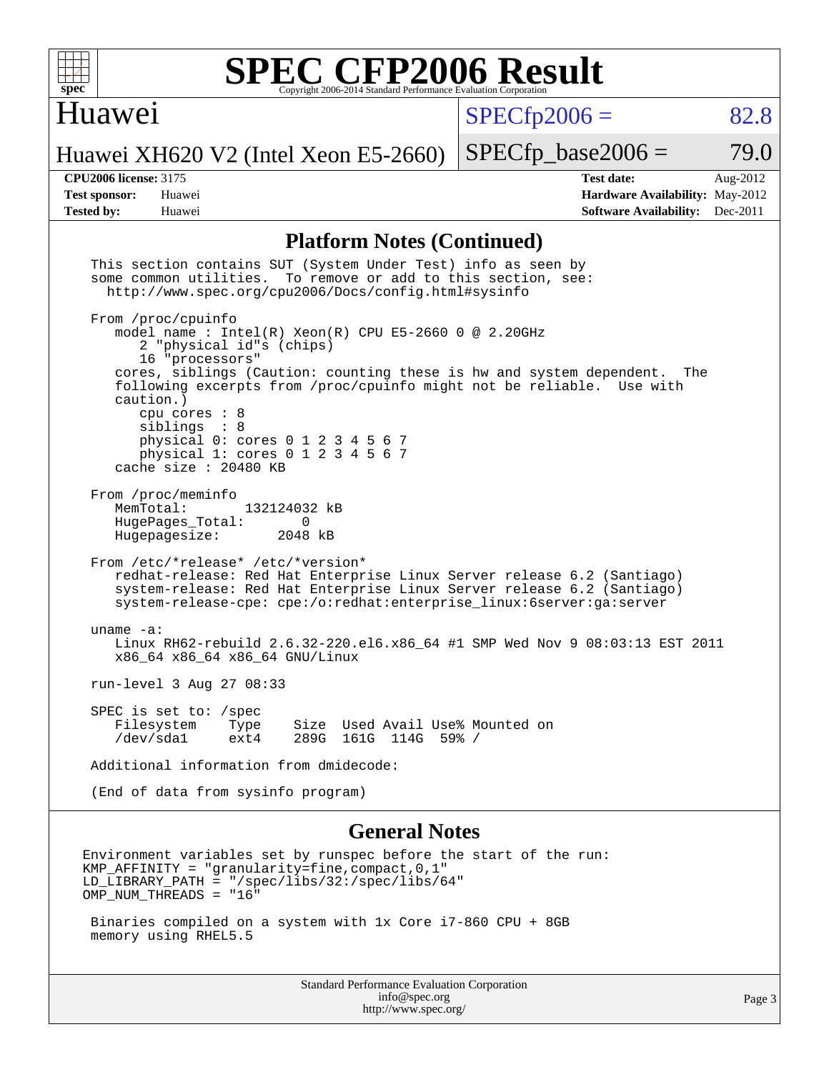

#### Huawei

 $SPECfp2006 = 82.8$  $SPECfp2006 = 82.8$ 

Huawei XH620 V2 (Intel Xeon E5-2660)

 $SPECTp\_base2006 = 79.0$ 

**[CPU2006 license:](http://www.spec.org/auto/cpu2006/Docs/result-fields.html#CPU2006license)** 3175 **[Test date:](http://www.spec.org/auto/cpu2006/Docs/result-fields.html#Testdate)** Aug-2012 **[Test sponsor:](http://www.spec.org/auto/cpu2006/Docs/result-fields.html#Testsponsor)** Huawei **[Hardware Availability:](http://www.spec.org/auto/cpu2006/Docs/result-fields.html#HardwareAvailability)** May-2012 **[Tested by:](http://www.spec.org/auto/cpu2006/Docs/result-fields.html#Testedby)** Huawei **[Software Availability:](http://www.spec.org/auto/cpu2006/Docs/result-fields.html#SoftwareAvailability)** Dec-2011

#### **[Platform Notes \(Continued\)](http://www.spec.org/auto/cpu2006/Docs/result-fields.html#PlatformNotes)**

| This section contains SUT (System Under Test) info as seen by<br>some common utilities. To remove or add to this section, see:<br>http://www.spec.org/cpu2006/Docs/config.html#sysinfo                                                                                                                                                                                                                                                 |        |
|----------------------------------------------------------------------------------------------------------------------------------------------------------------------------------------------------------------------------------------------------------------------------------------------------------------------------------------------------------------------------------------------------------------------------------------|--------|
| From /proc/cpuinfo<br>model name: Intel(R) Xeon(R) CPU E5-2660 0 @ 2.20GHz<br>2 "physical id"s (chips)<br>16 "processors"<br>cores, siblings (Caution: counting these is hw and system dependent.<br>The<br>following excerpts from /proc/cpuinfo might not be reliable. Use with<br>caution.)<br>cpu cores $: 8$<br>siblings : 8<br>physical 0: cores 0 1 2 3 4 5 6 7<br>physical 1: cores 0 1 2 3 4 5 6 7<br>cache size $: 20480$ KB |        |
| From /proc/meminfo<br>MemTotal:<br>132124032 kB<br>HugePages Total:<br>0<br>2048 kB<br>Hugepagesize:                                                                                                                                                                                                                                                                                                                                   |        |
| From /etc/*release* /etc/*version*<br>redhat-release: Red Hat Enterprise Linux Server release 6.2 (Santiago)<br>system-release: Red Hat Enterprise Linux Server release 6.2 (Santiago)<br>system-release-cpe: cpe:/o:redhat:enterprise_linux:6server:ga:server                                                                                                                                                                         |        |
| uname $-a$ :<br>Linux RH62-rebuild 2.6.32-220.el6.x86_64 #1 SMP Wed Nov 9 08:03:13 EST 2011<br>x86_64 x86_64 x86_64 GNU/Linux                                                                                                                                                                                                                                                                                                          |        |
| run-level 3 Aug 27 08:33                                                                                                                                                                                                                                                                                                                                                                                                               |        |
| SPEC is set to: /spec<br>Filesystem<br>Size Used Avail Use% Mounted on<br>Type<br>/dev/sda1<br>289G 161G 114G 59% /<br>ext4                                                                                                                                                                                                                                                                                                            |        |
| Additional information from dmidecode:                                                                                                                                                                                                                                                                                                                                                                                                 |        |
| (End of data from sysinfo program)                                                                                                                                                                                                                                                                                                                                                                                                     |        |
| <b>General Notes</b>                                                                                                                                                                                                                                                                                                                                                                                                                   |        |
| Environment variables set by runspec before the start of the run:<br>$KMP\_AFFINITY = "granularity = time, compact, 0, 1"$<br>$LD_LIBRARY_PATH = "/gpec/libs/32://spec/libs/64"$<br>OMP NUM THREADS = "16"                                                                                                                                                                                                                             |        |
| Binaries compiled on a system with 1x Core i7-860 CPU + 8GB<br>memory using RHEL5.5                                                                                                                                                                                                                                                                                                                                                    |        |
| <b>Standard Performance Evaluation Corporation</b><br>info@spec.org<br>http://www.spec.org/                                                                                                                                                                                                                                                                                                                                            | Page 3 |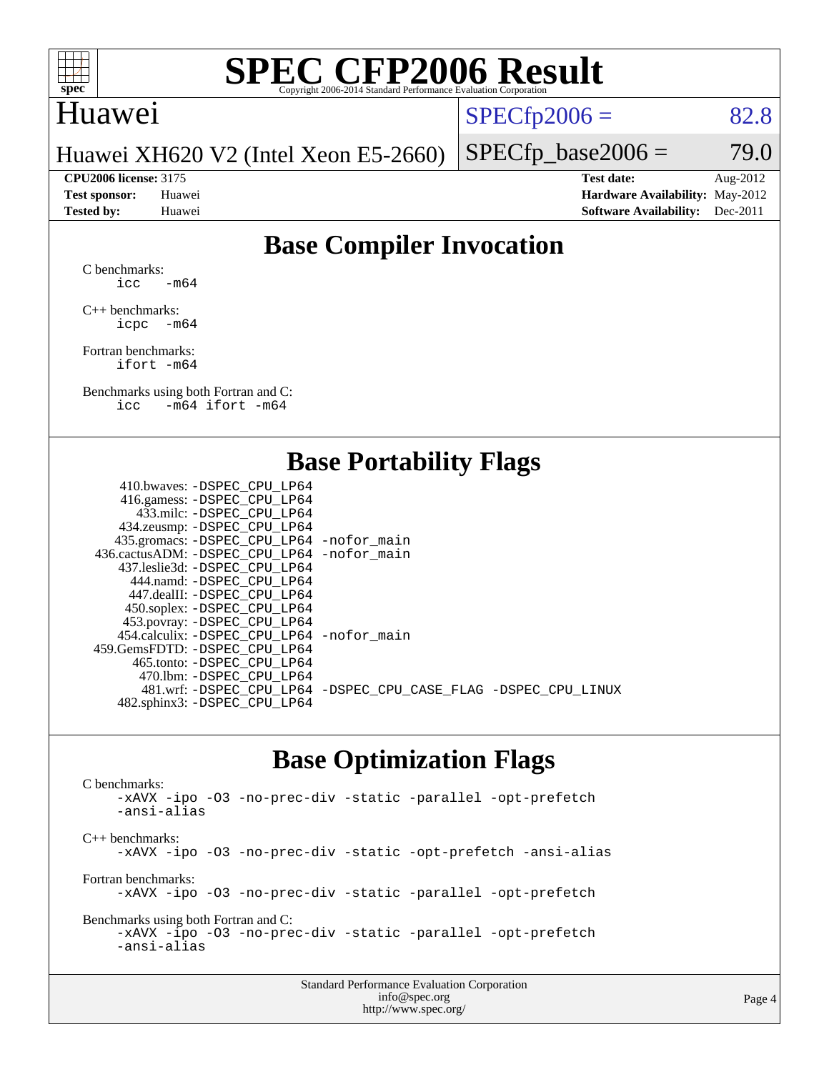

#### Huawei

 $SPECTp2006 = 82.8$ 

Huawei XH620 V2 (Intel Xeon E5-2660)

 $SPECTp\_base2006 = 79.0$ **[CPU2006 license:](http://www.spec.org/auto/cpu2006/Docs/result-fields.html#CPU2006license)** 3175 **[Test date:](http://www.spec.org/auto/cpu2006/Docs/result-fields.html#Testdate)** Aug-2012

**[Test sponsor:](http://www.spec.org/auto/cpu2006/Docs/result-fields.html#Testsponsor)** Huawei **[Hardware Availability:](http://www.spec.org/auto/cpu2006/Docs/result-fields.html#HardwareAvailability)** May-2012 **[Tested by:](http://www.spec.org/auto/cpu2006/Docs/result-fields.html#Testedby)** Huawei **[Software Availability:](http://www.spec.org/auto/cpu2006/Docs/result-fields.html#SoftwareAvailability)** Dec-2011

#### **[Base Compiler Invocation](http://www.spec.org/auto/cpu2006/Docs/result-fields.html#BaseCompilerInvocation)**

[C benchmarks](http://www.spec.org/auto/cpu2006/Docs/result-fields.html#Cbenchmarks):  $\text{icc}$  -m64

[C++ benchmarks:](http://www.spec.org/auto/cpu2006/Docs/result-fields.html#CXXbenchmarks) [icpc -m64](http://www.spec.org/cpu2006/results/res2012q3/cpu2006-20120904-24398.flags.html#user_CXXbase_intel_icpc_64bit_bedb90c1146cab66620883ef4f41a67e)

[Fortran benchmarks](http://www.spec.org/auto/cpu2006/Docs/result-fields.html#Fortranbenchmarks): [ifort -m64](http://www.spec.org/cpu2006/results/res2012q3/cpu2006-20120904-24398.flags.html#user_FCbase_intel_ifort_64bit_ee9d0fb25645d0210d97eb0527dcc06e)

[Benchmarks using both Fortran and C](http://www.spec.org/auto/cpu2006/Docs/result-fields.html#BenchmarksusingbothFortranandC): [icc -m64](http://www.spec.org/cpu2006/results/res2012q3/cpu2006-20120904-24398.flags.html#user_CC_FCbase_intel_icc_64bit_0b7121f5ab7cfabee23d88897260401c) [ifort -m64](http://www.spec.org/cpu2006/results/res2012q3/cpu2006-20120904-24398.flags.html#user_CC_FCbase_intel_ifort_64bit_ee9d0fb25645d0210d97eb0527dcc06e)

#### **[Base Portability Flags](http://www.spec.org/auto/cpu2006/Docs/result-fields.html#BasePortabilityFlags)**

| 410.bwaves: -DSPEC CPU LP64                 |                                                                |
|---------------------------------------------|----------------------------------------------------------------|
| 416.gamess: - DSPEC_CPU_LP64                |                                                                |
| 433.milc: -DSPEC CPU LP64                   |                                                                |
| 434.zeusmp: -DSPEC_CPU_LP64                 |                                                                |
| 435.gromacs: -DSPEC_CPU_LP64 -nofor_main    |                                                                |
| 436.cactusADM: -DSPEC CPU LP64 -nofor main  |                                                                |
| 437.leslie3d: -DSPEC CPU LP64               |                                                                |
| 444.namd: -DSPEC CPU LP64                   |                                                                |
| 447.dealII: -DSPEC CPU LP64                 |                                                                |
| 450.soplex: -DSPEC_CPU_LP64                 |                                                                |
| 453.povray: -DSPEC_CPU_LP64                 |                                                                |
| 454.calculix: - DSPEC CPU LP64 - nofor main |                                                                |
| 459.GemsFDTD: -DSPEC CPU LP64               |                                                                |
| 465.tonto: - DSPEC CPU LP64                 |                                                                |
| 470.1bm: - DSPEC CPU LP64                   |                                                                |
|                                             | 481.wrf: -DSPEC_CPU_LP64 -DSPEC_CPU_CASE_FLAG -DSPEC_CPU_LINUX |
| 482.sphinx3: -DSPEC_CPU_LP64                |                                                                |
|                                             |                                                                |

#### **[Base Optimization Flags](http://www.spec.org/auto/cpu2006/Docs/result-fields.html#BaseOptimizationFlags)**

[C benchmarks](http://www.spec.org/auto/cpu2006/Docs/result-fields.html#Cbenchmarks): [-xAVX](http://www.spec.org/cpu2006/results/res2012q3/cpu2006-20120904-24398.flags.html#user_CCbase_f-xAVX) [-ipo](http://www.spec.org/cpu2006/results/res2012q3/cpu2006-20120904-24398.flags.html#user_CCbase_f-ipo) [-O3](http://www.spec.org/cpu2006/results/res2012q3/cpu2006-20120904-24398.flags.html#user_CCbase_f-O3) [-no-prec-div](http://www.spec.org/cpu2006/results/res2012q3/cpu2006-20120904-24398.flags.html#user_CCbase_f-no-prec-div) [-static](http://www.spec.org/cpu2006/results/res2012q3/cpu2006-20120904-24398.flags.html#user_CCbase_f-static) [-parallel](http://www.spec.org/cpu2006/results/res2012q3/cpu2006-20120904-24398.flags.html#user_CCbase_f-parallel) [-opt-prefetch](http://www.spec.org/cpu2006/results/res2012q3/cpu2006-20120904-24398.flags.html#user_CCbase_f-opt-prefetch) [-ansi-alias](http://www.spec.org/cpu2006/results/res2012q3/cpu2006-20120904-24398.flags.html#user_CCbase_f-ansi-alias) [C++ benchmarks:](http://www.spec.org/auto/cpu2006/Docs/result-fields.html#CXXbenchmarks) [-xAVX](http://www.spec.org/cpu2006/results/res2012q3/cpu2006-20120904-24398.flags.html#user_CXXbase_f-xAVX) [-ipo](http://www.spec.org/cpu2006/results/res2012q3/cpu2006-20120904-24398.flags.html#user_CXXbase_f-ipo) [-O3](http://www.spec.org/cpu2006/results/res2012q3/cpu2006-20120904-24398.flags.html#user_CXXbase_f-O3) [-no-prec-div](http://www.spec.org/cpu2006/results/res2012q3/cpu2006-20120904-24398.flags.html#user_CXXbase_f-no-prec-div) [-static](http://www.spec.org/cpu2006/results/res2012q3/cpu2006-20120904-24398.flags.html#user_CXXbase_f-static) [-opt-prefetch](http://www.spec.org/cpu2006/results/res2012q3/cpu2006-20120904-24398.flags.html#user_CXXbase_f-opt-prefetch) [-ansi-alias](http://www.spec.org/cpu2006/results/res2012q3/cpu2006-20120904-24398.flags.html#user_CXXbase_f-ansi-alias) [Fortran benchmarks](http://www.spec.org/auto/cpu2006/Docs/result-fields.html#Fortranbenchmarks): [-xAVX](http://www.spec.org/cpu2006/results/res2012q3/cpu2006-20120904-24398.flags.html#user_FCbase_f-xAVX) [-ipo](http://www.spec.org/cpu2006/results/res2012q3/cpu2006-20120904-24398.flags.html#user_FCbase_f-ipo) [-O3](http://www.spec.org/cpu2006/results/res2012q3/cpu2006-20120904-24398.flags.html#user_FCbase_f-O3) [-no-prec-div](http://www.spec.org/cpu2006/results/res2012q3/cpu2006-20120904-24398.flags.html#user_FCbase_f-no-prec-div) [-static](http://www.spec.org/cpu2006/results/res2012q3/cpu2006-20120904-24398.flags.html#user_FCbase_f-static) [-parallel](http://www.spec.org/cpu2006/results/res2012q3/cpu2006-20120904-24398.flags.html#user_FCbase_f-parallel) [-opt-prefetch](http://www.spec.org/cpu2006/results/res2012q3/cpu2006-20120904-24398.flags.html#user_FCbase_f-opt-prefetch) [Benchmarks using both Fortran and C](http://www.spec.org/auto/cpu2006/Docs/result-fields.html#BenchmarksusingbothFortranandC): [-xAVX](http://www.spec.org/cpu2006/results/res2012q3/cpu2006-20120904-24398.flags.html#user_CC_FCbase_f-xAVX) [-ipo](http://www.spec.org/cpu2006/results/res2012q3/cpu2006-20120904-24398.flags.html#user_CC_FCbase_f-ipo) [-O3](http://www.spec.org/cpu2006/results/res2012q3/cpu2006-20120904-24398.flags.html#user_CC_FCbase_f-O3) [-no-prec-div](http://www.spec.org/cpu2006/results/res2012q3/cpu2006-20120904-24398.flags.html#user_CC_FCbase_f-no-prec-div) [-static](http://www.spec.org/cpu2006/results/res2012q3/cpu2006-20120904-24398.flags.html#user_CC_FCbase_f-static) [-parallel](http://www.spec.org/cpu2006/results/res2012q3/cpu2006-20120904-24398.flags.html#user_CC_FCbase_f-parallel) [-opt-prefetch](http://www.spec.org/cpu2006/results/res2012q3/cpu2006-20120904-24398.flags.html#user_CC_FCbase_f-opt-prefetch) [-ansi-alias](http://www.spec.org/cpu2006/results/res2012q3/cpu2006-20120904-24398.flags.html#user_CC_FCbase_f-ansi-alias)

| <b>Standard Performance Evaluation Corporation</b> |
|----------------------------------------------------|
| info@spec.org                                      |
| http://www.spec.org/                               |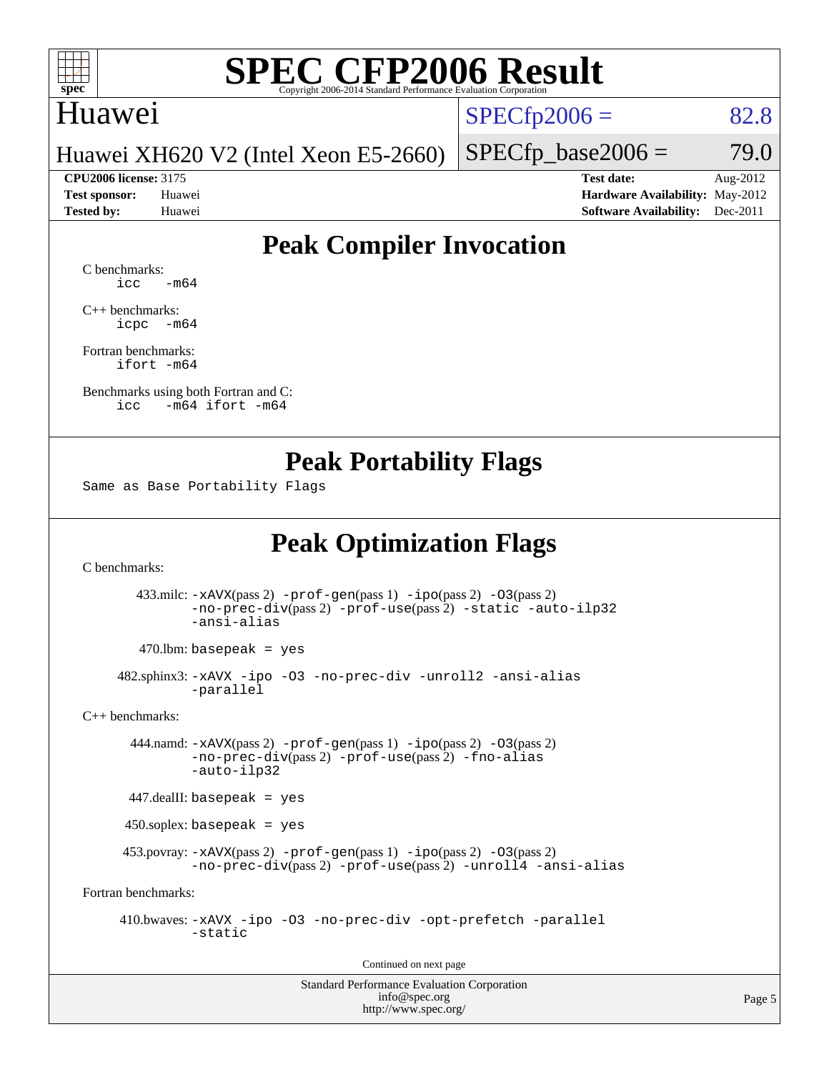

#### Huawei

 $SPECTp2006 = 82.8$ 

Huawei XH620 V2 (Intel Xeon E5-2660)

**[CPU2006 license:](http://www.spec.org/auto/cpu2006/Docs/result-fields.html#CPU2006license)** 3175 **[Test date:](http://www.spec.org/auto/cpu2006/Docs/result-fields.html#Testdate)** Aug-2012

 $SPECTp\_base2006 = 79.0$ 

**[Test sponsor:](http://www.spec.org/auto/cpu2006/Docs/result-fields.html#Testsponsor)** Huawei **[Hardware Availability:](http://www.spec.org/auto/cpu2006/Docs/result-fields.html#HardwareAvailability)** May-2012 **[Tested by:](http://www.spec.org/auto/cpu2006/Docs/result-fields.html#Testedby)** Huawei **[Software Availability:](http://www.spec.org/auto/cpu2006/Docs/result-fields.html#SoftwareAvailability)** Dec-2011

#### **[Peak Compiler Invocation](http://www.spec.org/auto/cpu2006/Docs/result-fields.html#PeakCompilerInvocation)**

[C benchmarks](http://www.spec.org/auto/cpu2006/Docs/result-fields.html#Cbenchmarks):  $\text{icc}$   $-\text{m64}$ 

[C++ benchmarks:](http://www.spec.org/auto/cpu2006/Docs/result-fields.html#CXXbenchmarks) [icpc -m64](http://www.spec.org/cpu2006/results/res2012q3/cpu2006-20120904-24398.flags.html#user_CXXpeak_intel_icpc_64bit_bedb90c1146cab66620883ef4f41a67e)

[Fortran benchmarks](http://www.spec.org/auto/cpu2006/Docs/result-fields.html#Fortranbenchmarks): [ifort -m64](http://www.spec.org/cpu2006/results/res2012q3/cpu2006-20120904-24398.flags.html#user_FCpeak_intel_ifort_64bit_ee9d0fb25645d0210d97eb0527dcc06e)

[Benchmarks using both Fortran and C](http://www.spec.org/auto/cpu2006/Docs/result-fields.html#BenchmarksusingbothFortranandC): [icc -m64](http://www.spec.org/cpu2006/results/res2012q3/cpu2006-20120904-24398.flags.html#user_CC_FCpeak_intel_icc_64bit_0b7121f5ab7cfabee23d88897260401c) [ifort -m64](http://www.spec.org/cpu2006/results/res2012q3/cpu2006-20120904-24398.flags.html#user_CC_FCpeak_intel_ifort_64bit_ee9d0fb25645d0210d97eb0527dcc06e)

#### **[Peak Portability Flags](http://www.spec.org/auto/cpu2006/Docs/result-fields.html#PeakPortabilityFlags)**

Same as Base Portability Flags

### **[Peak Optimization Flags](http://www.spec.org/auto/cpu2006/Docs/result-fields.html#PeakOptimizationFlags)**

[C benchmarks](http://www.spec.org/auto/cpu2006/Docs/result-fields.html#Cbenchmarks):

 433.milc: [-xAVX](http://www.spec.org/cpu2006/results/res2012q3/cpu2006-20120904-24398.flags.html#user_peakPASS2_CFLAGSPASS2_LDFLAGS433_milc_f-xAVX)(pass 2) [-prof-gen](http://www.spec.org/cpu2006/results/res2012q3/cpu2006-20120904-24398.flags.html#user_peakPASS1_CFLAGSPASS1_LDFLAGS433_milc_prof_gen_e43856698f6ca7b7e442dfd80e94a8fc)(pass 1) [-ipo](http://www.spec.org/cpu2006/results/res2012q3/cpu2006-20120904-24398.flags.html#user_peakPASS2_CFLAGSPASS2_LDFLAGS433_milc_f-ipo)(pass 2) [-O3](http://www.spec.org/cpu2006/results/res2012q3/cpu2006-20120904-24398.flags.html#user_peakPASS2_CFLAGSPASS2_LDFLAGS433_milc_f-O3)(pass 2) [-no-prec-div](http://www.spec.org/cpu2006/results/res2012q3/cpu2006-20120904-24398.flags.html#user_peakPASS2_CFLAGSPASS2_LDFLAGS433_milc_f-no-prec-div)(pass 2) [-prof-use](http://www.spec.org/cpu2006/results/res2012q3/cpu2006-20120904-24398.flags.html#user_peakPASS2_CFLAGSPASS2_LDFLAGS433_milc_prof_use_bccf7792157ff70d64e32fe3e1250b55)(pass 2) [-static](http://www.spec.org/cpu2006/results/res2012q3/cpu2006-20120904-24398.flags.html#user_peakOPTIMIZE433_milc_f-static) [-auto-ilp32](http://www.spec.org/cpu2006/results/res2012q3/cpu2006-20120904-24398.flags.html#user_peakCOPTIMIZE433_milc_f-auto-ilp32) [-ansi-alias](http://www.spec.org/cpu2006/results/res2012q3/cpu2006-20120904-24398.flags.html#user_peakCOPTIMIZE433_milc_f-ansi-alias)

 $470.$ lbm: basepeak = yes

 482.sphinx3: [-xAVX](http://www.spec.org/cpu2006/results/res2012q3/cpu2006-20120904-24398.flags.html#user_peakOPTIMIZE482_sphinx3_f-xAVX) [-ipo](http://www.spec.org/cpu2006/results/res2012q3/cpu2006-20120904-24398.flags.html#user_peakOPTIMIZE482_sphinx3_f-ipo) [-O3](http://www.spec.org/cpu2006/results/res2012q3/cpu2006-20120904-24398.flags.html#user_peakOPTIMIZE482_sphinx3_f-O3) [-no-prec-div](http://www.spec.org/cpu2006/results/res2012q3/cpu2006-20120904-24398.flags.html#user_peakOPTIMIZE482_sphinx3_f-no-prec-div) [-unroll2](http://www.spec.org/cpu2006/results/res2012q3/cpu2006-20120904-24398.flags.html#user_peakCOPTIMIZE482_sphinx3_f-unroll_784dae83bebfb236979b41d2422d7ec2) [-ansi-alias](http://www.spec.org/cpu2006/results/res2012q3/cpu2006-20120904-24398.flags.html#user_peakCOPTIMIZE482_sphinx3_f-ansi-alias) [-parallel](http://www.spec.org/cpu2006/results/res2012q3/cpu2006-20120904-24398.flags.html#user_peakCOPTIMIZE482_sphinx3_f-parallel)

[C++ benchmarks:](http://www.spec.org/auto/cpu2006/Docs/result-fields.html#CXXbenchmarks)

 444.namd: [-xAVX](http://www.spec.org/cpu2006/results/res2012q3/cpu2006-20120904-24398.flags.html#user_peakPASS2_CXXFLAGSPASS2_LDFLAGS444_namd_f-xAVX)(pass 2) [-prof-gen](http://www.spec.org/cpu2006/results/res2012q3/cpu2006-20120904-24398.flags.html#user_peakPASS1_CXXFLAGSPASS1_LDFLAGS444_namd_prof_gen_e43856698f6ca7b7e442dfd80e94a8fc)(pass 1) [-ipo](http://www.spec.org/cpu2006/results/res2012q3/cpu2006-20120904-24398.flags.html#user_peakPASS2_CXXFLAGSPASS2_LDFLAGS444_namd_f-ipo)(pass 2) [-O3](http://www.spec.org/cpu2006/results/res2012q3/cpu2006-20120904-24398.flags.html#user_peakPASS2_CXXFLAGSPASS2_LDFLAGS444_namd_f-O3)(pass 2) [-no-prec-div](http://www.spec.org/cpu2006/results/res2012q3/cpu2006-20120904-24398.flags.html#user_peakPASS2_CXXFLAGSPASS2_LDFLAGS444_namd_f-no-prec-div)(pass 2) [-prof-use](http://www.spec.org/cpu2006/results/res2012q3/cpu2006-20120904-24398.flags.html#user_peakPASS2_CXXFLAGSPASS2_LDFLAGS444_namd_prof_use_bccf7792157ff70d64e32fe3e1250b55)(pass 2) [-fno-alias](http://www.spec.org/cpu2006/results/res2012q3/cpu2006-20120904-24398.flags.html#user_peakCXXOPTIMIZEOPTIMIZE444_namd_f-no-alias_694e77f6c5a51e658e82ccff53a9e63a) [-auto-ilp32](http://www.spec.org/cpu2006/results/res2012q3/cpu2006-20120904-24398.flags.html#user_peakCXXOPTIMIZE444_namd_f-auto-ilp32)

447.dealII: basepeak = yes

450.soplex: basepeak = yes

 453.povray: [-xAVX](http://www.spec.org/cpu2006/results/res2012q3/cpu2006-20120904-24398.flags.html#user_peakPASS2_CXXFLAGSPASS2_LDFLAGS453_povray_f-xAVX)(pass 2) [-prof-gen](http://www.spec.org/cpu2006/results/res2012q3/cpu2006-20120904-24398.flags.html#user_peakPASS1_CXXFLAGSPASS1_LDFLAGS453_povray_prof_gen_e43856698f6ca7b7e442dfd80e94a8fc)(pass 1) [-ipo](http://www.spec.org/cpu2006/results/res2012q3/cpu2006-20120904-24398.flags.html#user_peakPASS2_CXXFLAGSPASS2_LDFLAGS453_povray_f-ipo)(pass 2) [-O3](http://www.spec.org/cpu2006/results/res2012q3/cpu2006-20120904-24398.flags.html#user_peakPASS2_CXXFLAGSPASS2_LDFLAGS453_povray_f-O3)(pass 2) [-no-prec-div](http://www.spec.org/cpu2006/results/res2012q3/cpu2006-20120904-24398.flags.html#user_peakPASS2_CXXFLAGSPASS2_LDFLAGS453_povray_f-no-prec-div)(pass 2) [-prof-use](http://www.spec.org/cpu2006/results/res2012q3/cpu2006-20120904-24398.flags.html#user_peakPASS2_CXXFLAGSPASS2_LDFLAGS453_povray_prof_use_bccf7792157ff70d64e32fe3e1250b55)(pass 2) [-unroll4](http://www.spec.org/cpu2006/results/res2012q3/cpu2006-20120904-24398.flags.html#user_peakCXXOPTIMIZE453_povray_f-unroll_4e5e4ed65b7fd20bdcd365bec371b81f) [-ansi-alias](http://www.spec.org/cpu2006/results/res2012q3/cpu2006-20120904-24398.flags.html#user_peakCXXOPTIMIZE453_povray_f-ansi-alias)

[Fortran benchmarks](http://www.spec.org/auto/cpu2006/Docs/result-fields.html#Fortranbenchmarks):

 410.bwaves: [-xAVX](http://www.spec.org/cpu2006/results/res2012q3/cpu2006-20120904-24398.flags.html#user_peakOPTIMIZE410_bwaves_f-xAVX) [-ipo](http://www.spec.org/cpu2006/results/res2012q3/cpu2006-20120904-24398.flags.html#user_peakOPTIMIZE410_bwaves_f-ipo) [-O3](http://www.spec.org/cpu2006/results/res2012q3/cpu2006-20120904-24398.flags.html#user_peakOPTIMIZE410_bwaves_f-O3) [-no-prec-div](http://www.spec.org/cpu2006/results/res2012q3/cpu2006-20120904-24398.flags.html#user_peakOPTIMIZE410_bwaves_f-no-prec-div) [-opt-prefetch](http://www.spec.org/cpu2006/results/res2012q3/cpu2006-20120904-24398.flags.html#user_peakOPTIMIZE410_bwaves_f-opt-prefetch) [-parallel](http://www.spec.org/cpu2006/results/res2012q3/cpu2006-20120904-24398.flags.html#user_peakOPTIMIZE410_bwaves_f-parallel) [-static](http://www.spec.org/cpu2006/results/res2012q3/cpu2006-20120904-24398.flags.html#user_peakOPTIMIZE410_bwaves_f-static)

Continued on next page

Standard Performance Evaluation Corporation [info@spec.org](mailto:info@spec.org) <http://www.spec.org/>